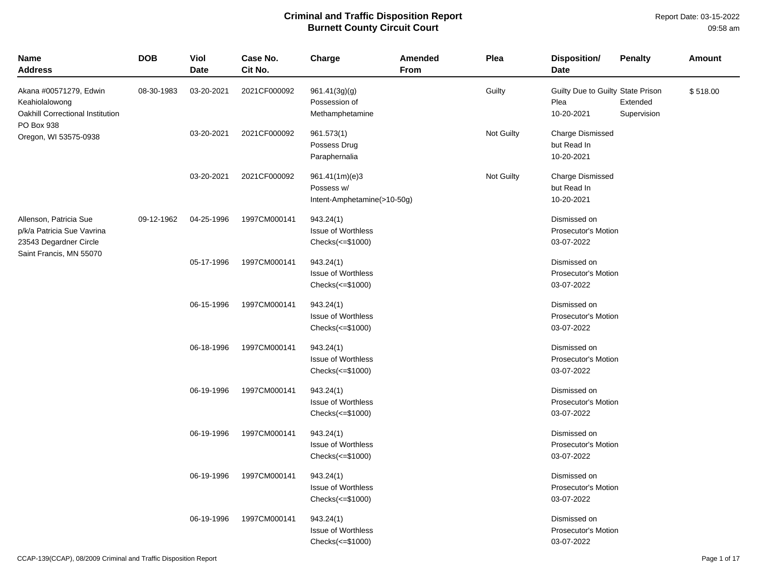| Name<br><b>Address</b>                                                                                    | <b>DOB</b> | Viol<br><b>Date</b> | Case No.<br>Cit No. | Charge                                                          | <b>Amended</b><br>From | Plea       | Disposition/<br>Date                                     | <b>Penalty</b>          | Amount   |
|-----------------------------------------------------------------------------------------------------------|------------|---------------------|---------------------|-----------------------------------------------------------------|------------------------|------------|----------------------------------------------------------|-------------------------|----------|
| Akana #00571279, Edwin<br>Keahiolalowong<br>Oakhill Correctional Institution                              | 08-30-1983 | 03-20-2021          | 2021CF000092        | 961.41(3g)(g)<br>Possession of<br>Methamphetamine               |                        | Guilty     | Guilty Due to Guilty State Prison<br>Plea<br>10-20-2021  | Extended<br>Supervision | \$518.00 |
| PO Box 938<br>Oregon, WI 53575-0938                                                                       |            | 03-20-2021          | 2021CF000092        | 961.573(1)<br>Possess Drug<br>Paraphernalia                     |                        | Not Guilty | <b>Charge Dismissed</b><br>but Read In<br>10-20-2021     |                         |          |
|                                                                                                           |            | 03-20-2021          | 2021CF000092        | 961.41(1m)(e)3<br>Possess w/<br>Intent-Amphetamine(>10-50g)     |                        | Not Guilty | <b>Charge Dismissed</b><br>but Read In<br>10-20-2021     |                         |          |
| Allenson, Patricia Sue<br>p/k/a Patricia Sue Vavrina<br>23543 Degardner Circle<br>Saint Francis, MN 55070 | 09-12-1962 | 04-25-1996          | 1997CM000141        | 943.24(1)<br><b>Issue of Worthless</b><br>$Checks(\leq$ \$1000) |                        |            | Dismissed on<br>Prosecutor's Motion<br>03-07-2022        |                         |          |
|                                                                                                           |            | 05-17-1996          | 1997CM000141        | 943.24(1)<br><b>Issue of Worthless</b><br>$Checks(\leq$ \$1000) |                        |            | Dismissed on<br><b>Prosecutor's Motion</b><br>03-07-2022 |                         |          |
|                                                                                                           |            | 06-15-1996          | 1997CM000141        | 943.24(1)<br><b>Issue of Worthless</b><br>Checks(<=\$1000)      |                        |            | Dismissed on<br>Prosecutor's Motion<br>03-07-2022        |                         |          |
|                                                                                                           |            | 06-18-1996          | 1997CM000141        | 943.24(1)<br><b>Issue of Worthless</b><br>$Checks(\leq$ \$1000) |                        |            | Dismissed on<br>Prosecutor's Motion<br>03-07-2022        |                         |          |
|                                                                                                           |            | 06-19-1996          | 1997CM000141        | 943.24(1)<br><b>Issue of Worthless</b><br>Checks(<=\$1000)      |                        |            | Dismissed on<br><b>Prosecutor's Motion</b><br>03-07-2022 |                         |          |
|                                                                                                           |            | 06-19-1996          | 1997CM000141        | 943.24(1)<br>Issue of Worthless<br>Checks(<=\$1000)             |                        |            | Dismissed on<br>Prosecutor's Motion<br>03-07-2022        |                         |          |
|                                                                                                           |            | 06-19-1996          | 1997CM000141        | 943.24(1)<br><b>Issue of Worthless</b><br>Checks(<=\$1000)      |                        |            | Dismissed on<br>Prosecutor's Motion<br>03-07-2022        |                         |          |
|                                                                                                           |            | 06-19-1996          | 1997CM000141        | 943.24(1)<br><b>Issue of Worthless</b><br>$Checks(\leq$ \$1000) |                        |            | Dismissed on<br>Prosecutor's Motion<br>03-07-2022        |                         |          |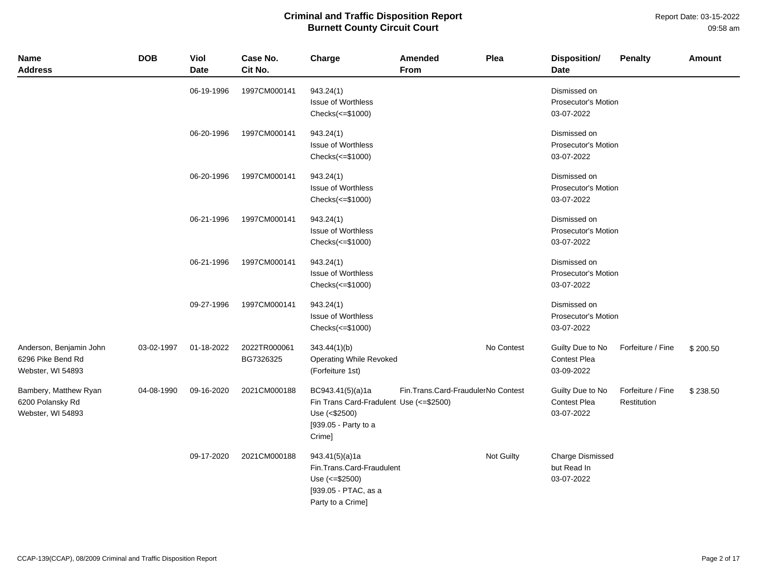Report Date: 03-15-2022 09:58 am

| <b>Name</b><br><b>Address</b>                                     | <b>DOB</b> | Viol<br>Date | Case No.<br>Cit No.       | Charge                                                                                                          | <b>Amended</b><br>From             | Plea       | Disposition/<br><b>Date</b>                              | <b>Penalty</b>                   | Amount   |
|-------------------------------------------------------------------|------------|--------------|---------------------------|-----------------------------------------------------------------------------------------------------------------|------------------------------------|------------|----------------------------------------------------------|----------------------------------|----------|
|                                                                   |            | 06-19-1996   | 1997CM000141              | 943.24(1)<br><b>Issue of Worthless</b><br>Checks(<=\$1000)                                                      |                                    |            | Dismissed on<br><b>Prosecutor's Motion</b><br>03-07-2022 |                                  |          |
|                                                                   |            | 06-20-1996   | 1997CM000141              | 943.24(1)<br><b>Issue of Worthless</b><br>Checks(<=\$1000)                                                      |                                    |            | Dismissed on<br><b>Prosecutor's Motion</b><br>03-07-2022 |                                  |          |
|                                                                   |            | 06-20-1996   | 1997CM000141              | 943.24(1)<br><b>Issue of Worthless</b><br>Checks(<=\$1000)                                                      |                                    |            | Dismissed on<br><b>Prosecutor's Motion</b><br>03-07-2022 |                                  |          |
|                                                                   |            | 06-21-1996   | 1997CM000141              | 943.24(1)<br><b>Issue of Worthless</b><br>$Checks \left( \leq 1000 \right)$                                     |                                    |            | Dismissed on<br><b>Prosecutor's Motion</b><br>03-07-2022 |                                  |          |
|                                                                   |            | 06-21-1996   | 1997CM000141              | 943.24(1)<br><b>Issue of Worthless</b><br>Checks(<=\$1000)                                                      |                                    |            | Dismissed on<br><b>Prosecutor's Motion</b><br>03-07-2022 |                                  |          |
|                                                                   |            | 09-27-1996   | 1997CM000141              | 943.24(1)<br><b>Issue of Worthless</b><br>Checks(<=\$1000)                                                      |                                    |            | Dismissed on<br><b>Prosecutor's Motion</b><br>03-07-2022 |                                  |          |
| Anderson, Benjamin John<br>6296 Pike Bend Rd<br>Webster, WI 54893 | 03-02-1997 | 01-18-2022   | 2022TR000061<br>BG7326325 | 343.44(1)(b)<br>Operating While Revoked<br>(Forfeiture 1st)                                                     |                                    | No Contest | Guilty Due to No<br>Contest Plea<br>03-09-2022           | Forfeiture / Fine                | \$200.50 |
| Bambery, Matthew Ryan<br>6200 Polansky Rd<br>Webster, WI 54893    | 04-08-1990 | 09-16-2020   | 2021CM000188              | BC943.41(5)(a)1a<br>Fin Trans Card-Fradulent Use (<= \$2500)<br>Use (<\$2500)<br>[939.05 - Party to a<br>Crime] | Fin.Trans.Card-FraudulerNo Contest |            | Guilty Due to No<br><b>Contest Plea</b><br>03-07-2022    | Forfeiture / Fine<br>Restitution | \$238.50 |
|                                                                   |            | 09-17-2020   | 2021CM000188              | 943.41(5)(a)1a<br>Fin.Trans.Card-Fraudulent<br>Use (<= \$2500)<br>[939.05 - PTAC, as a<br>Party to a Crime]     |                                    | Not Guilty | <b>Charge Dismissed</b><br>but Read In<br>03-07-2022     |                                  |          |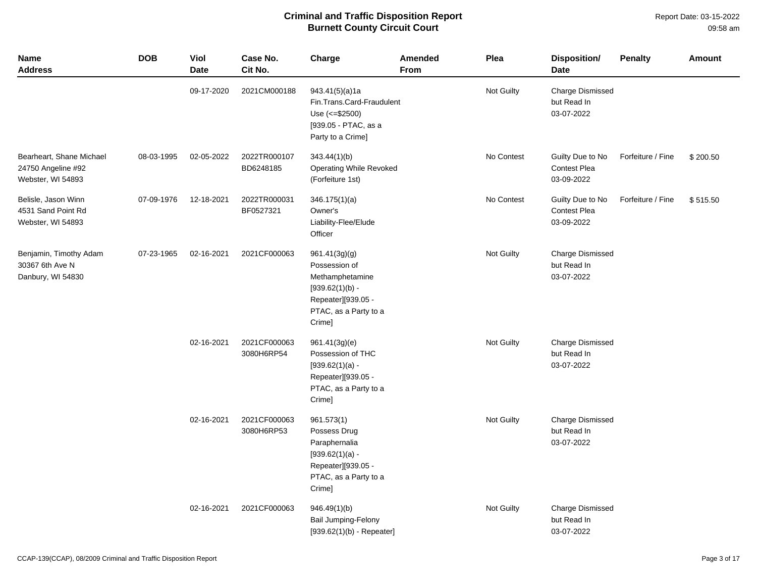| <b>Name</b><br><b>Address</b>                                       | <b>DOB</b> | Viol<br><b>Date</b> | Case No.<br>Cit No.        | Charge                                                                                                                          | Amended<br><b>From</b> | Plea       | <b>Disposition/</b><br><b>Date</b>                    | <b>Penalty</b>    | <b>Amount</b> |
|---------------------------------------------------------------------|------------|---------------------|----------------------------|---------------------------------------------------------------------------------------------------------------------------------|------------------------|------------|-------------------------------------------------------|-------------------|---------------|
|                                                                     |            | 09-17-2020          | 2021CM000188               | 943.41(5)(a)1a<br>Fin.Trans.Card-Fraudulent<br>Use $(<= $2500)$<br>[939.05 - PTAC, as a<br>Party to a Crime]                    |                        | Not Guilty | <b>Charge Dismissed</b><br>but Read In<br>03-07-2022  |                   |               |
| Bearheart, Shane Michael<br>24750 Angeline #92<br>Webster, WI 54893 | 08-03-1995 | 02-05-2022          | 2022TR000107<br>BD6248185  | 343.44(1)(b)<br>Operating While Revoked<br>(Forfeiture 1st)                                                                     |                        | No Contest | Guilty Due to No<br><b>Contest Plea</b><br>03-09-2022 | Forfeiture / Fine | \$200.50      |
| Belisle, Jason Winn<br>4531 Sand Point Rd<br>Webster, WI 54893      | 07-09-1976 | 12-18-2021          | 2022TR000031<br>BF0527321  | 346.175(1)(a)<br>Owner's<br>Liability-Flee/Elude<br>Officer                                                                     |                        | No Contest | Guilty Due to No<br>Contest Plea<br>03-09-2022        | Forfeiture / Fine | \$515.50      |
| Benjamin, Timothy Adam<br>30367 6th Ave N<br>Danbury, WI 54830      | 07-23-1965 | 02-16-2021          | 2021CF000063               | 961.41(3g)(g)<br>Possession of<br>Methamphetamine<br>$[939.62(1)(b) -$<br>Repeater][939.05 -<br>PTAC, as a Party to a<br>Crime] |                        | Not Guilty | Charge Dismissed<br>but Read In<br>03-07-2022         |                   |               |
|                                                                     |            | 02-16-2021          | 2021CF000063<br>3080H6RP54 | 961.41(3g)(e)<br>Possession of THC<br>$[939.62(1)(a) -$<br>Repeater][939.05 -<br>PTAC, as a Party to a<br>Crime]                |                        | Not Guilty | <b>Charge Dismissed</b><br>but Read In<br>03-07-2022  |                   |               |
|                                                                     |            | 02-16-2021          | 2021CF000063<br>3080H6RP53 | 961.573(1)<br>Possess Drug<br>Paraphernalia<br>$[939.62(1)(a) -$<br>Repeater][939.05 -<br>PTAC, as a Party to a<br>Crime]       |                        | Not Guilty | <b>Charge Dismissed</b><br>but Read In<br>03-07-2022  |                   |               |
|                                                                     |            | 02-16-2021          | 2021CF000063               | 946.49(1)(b)<br>Bail Jumping-Felony<br>$[939.62(1)(b) - Repeated]$                                                              |                        | Not Guilty | <b>Charge Dismissed</b><br>but Read In<br>03-07-2022  |                   |               |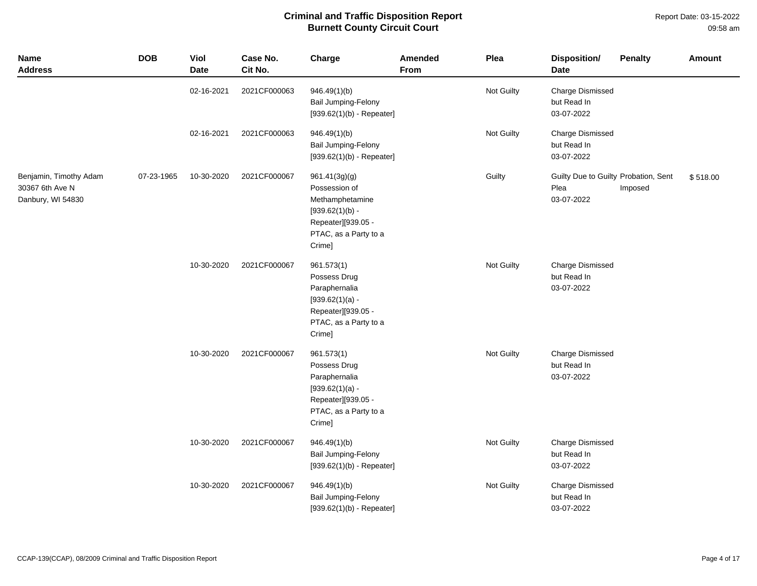| <b>Name</b><br><b>Address</b>                                  | <b>DOB</b> | Viol<br><b>Date</b> | Case No.<br>Cit No. | Charge                                                                                                                          | Amended<br>From | Plea       | Disposition/<br>Date                                       | <b>Penalty</b> | <b>Amount</b> |
|----------------------------------------------------------------|------------|---------------------|---------------------|---------------------------------------------------------------------------------------------------------------------------------|-----------------|------------|------------------------------------------------------------|----------------|---------------|
|                                                                |            | 02-16-2021          | 2021CF000063        | 946.49(1)(b)<br><b>Bail Jumping-Felony</b><br>$[939.62(1)(b) - Repeated]$                                                       |                 | Not Guilty | <b>Charge Dismissed</b><br>but Read In<br>03-07-2022       |                |               |
|                                                                |            | 02-16-2021          | 2021CF000063        | 946.49(1)(b)<br>Bail Jumping-Felony<br>$[939.62(1)(b) - Repeated]$                                                              |                 | Not Guilty | <b>Charge Dismissed</b><br>but Read In<br>03-07-2022       |                |               |
| Benjamin, Timothy Adam<br>30367 6th Ave N<br>Danbury, WI 54830 | 07-23-1965 | 10-30-2020          | 2021CF000067        | 961.41(3g)(g)<br>Possession of<br>Methamphetamine<br>$[939.62(1)(b) -$<br>Repeater][939.05 -<br>PTAC, as a Party to a<br>Crime] |                 | Guilty     | Guilty Due to Guilty Probation, Sent<br>Plea<br>03-07-2022 | Imposed        | \$518.00      |
|                                                                |            | 10-30-2020          | 2021CF000067        | 961.573(1)<br>Possess Drug<br>Paraphernalia<br>$[939.62(1)(a) -$<br>Repeater][939.05 -<br>PTAC, as a Party to a<br>Crime]       |                 | Not Guilty | <b>Charge Dismissed</b><br>but Read In<br>03-07-2022       |                |               |
|                                                                |            | 10-30-2020          | 2021CF000067        | 961.573(1)<br>Possess Drug<br>Paraphernalia<br>$[939.62(1)(a) -$<br>Repeater][939.05 -<br>PTAC, as a Party to a<br>Crime]       |                 | Not Guilty | <b>Charge Dismissed</b><br>but Read In<br>03-07-2022       |                |               |
|                                                                |            | 10-30-2020          | 2021CF000067        | 946.49(1)(b)<br>Bail Jumping-Felony<br>$[939.62(1)(b) - Repeated]$                                                              |                 | Not Guilty | <b>Charge Dismissed</b><br>but Read In<br>03-07-2022       |                |               |
|                                                                |            | 10-30-2020          | 2021CF000067        | 946.49(1)(b)<br><b>Bail Jumping-Felony</b><br>$[939.62(1)(b) - Repeated]$                                                       |                 | Not Guilty | <b>Charge Dismissed</b><br>but Read In<br>03-07-2022       |                |               |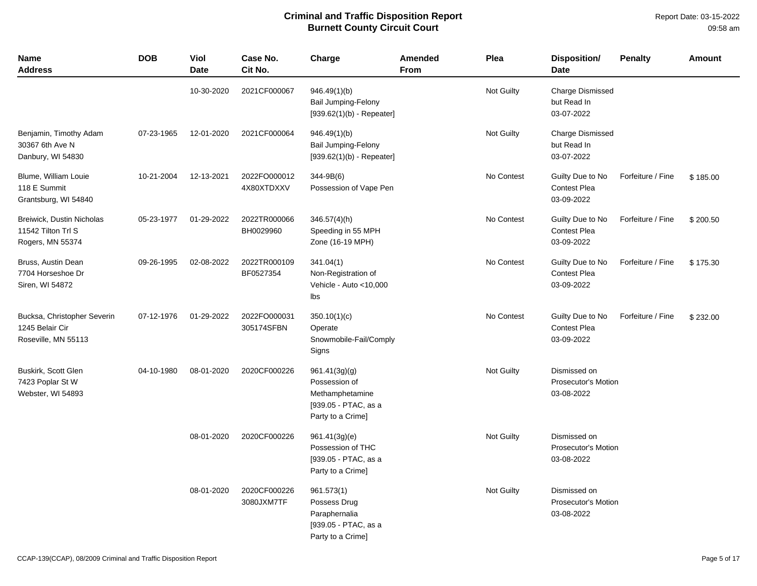| <b>Name</b><br><b>Address</b>                                         | <b>DOB</b> | <b>Viol</b><br><b>Date</b> | Case No.<br>Cit No.        | Charge                                                                                         | Amended<br><b>From</b> | Plea              | <b>Disposition/</b><br><b>Date</b>                       | <b>Penalty</b>    | <b>Amount</b> |
|-----------------------------------------------------------------------|------------|----------------------------|----------------------------|------------------------------------------------------------------------------------------------|------------------------|-------------------|----------------------------------------------------------|-------------------|---------------|
|                                                                       |            | 10-30-2020                 | 2021CF000067               | 946.49(1)(b)<br>Bail Jumping-Felony<br>$[939.62(1)(b) - Repeated]$                             |                        | Not Guilty        | Charge Dismissed<br>but Read In<br>03-07-2022            |                   |               |
| Benjamin, Timothy Adam<br>30367 6th Ave N<br>Danbury, WI 54830        | 07-23-1965 | 12-01-2020                 | 2021CF000064               | 946.49(1)(b)<br><b>Bail Jumping-Felony</b><br>$[939.62(1)(b) - Repeated]$                      |                        | Not Guilty        | <b>Charge Dismissed</b><br>but Read In<br>03-07-2022     |                   |               |
| Blume, William Louie<br>118 E Summit<br>Grantsburg, WI 54840          | 10-21-2004 | 12-13-2021                 | 2022FO000012<br>4X80XTDXXV | 344-9B(6)<br>Possession of Vape Pen                                                            |                        | No Contest        | Guilty Due to No<br><b>Contest Plea</b><br>03-09-2022    | Forfeiture / Fine | \$185.00      |
| Breiwick, Dustin Nicholas<br>11542 Tilton Trl S<br>Rogers, MN 55374   | 05-23-1977 | 01-29-2022                 | 2022TR000066<br>BH0029960  | $346.57(4)$ (h)<br>Speeding in 55 MPH<br>Zone (16-19 MPH)                                      |                        | No Contest        | Guilty Due to No<br><b>Contest Plea</b><br>03-09-2022    | Forfeiture / Fine | \$200.50      |
| Bruss, Austin Dean<br>7704 Horseshoe Dr<br>Siren, WI 54872            | 09-26-1995 | 02-08-2022                 | 2022TR000109<br>BF0527354  | 341.04(1)<br>Non-Registration of<br>Vehicle - Auto <10,000<br>Ibs                              |                        | No Contest        | Guilty Due to No<br><b>Contest Plea</b><br>03-09-2022    | Forfeiture / Fine | \$175.30      |
| Bucksa, Christopher Severin<br>1245 Belair Cir<br>Roseville, MN 55113 | 07-12-1976 | 01-29-2022                 | 2022FO000031<br>305174SFBN | 350.10(1)(c)<br>Operate<br>Snowmobile-Fail/Comply<br>Signs                                     |                        | No Contest        | Guilty Due to No<br><b>Contest Plea</b><br>03-09-2022    | Forfeiture / Fine | \$232.00      |
| Buskirk, Scott Glen<br>7423 Poplar St W<br>Webster, WI 54893          | 04-10-1980 | 08-01-2020                 | 2020CF000226               | 961.41(3g)(g)<br>Possession of<br>Methamphetamine<br>[939.05 - PTAC, as a<br>Party to a Crime] |                        | Not Guilty        | Dismissed on<br><b>Prosecutor's Motion</b><br>03-08-2022 |                   |               |
|                                                                       |            | 08-01-2020                 | 2020CF000226               | 961.41(3g)(e)<br>Possession of THC<br>[939.05 - PTAC, as a<br>Party to a Crime]                |                        | <b>Not Guilty</b> | Dismissed on<br><b>Prosecutor's Motion</b><br>03-08-2022 |                   |               |
|                                                                       |            | 08-01-2020                 | 2020CF000226<br>3080JXM7TF | 961.573(1)<br>Possess Drug<br>Paraphernalia<br>[939.05 - PTAC, as a<br>Party to a Crime]       |                        | Not Guilty        | Dismissed on<br>Prosecutor's Motion<br>03-08-2022        |                   |               |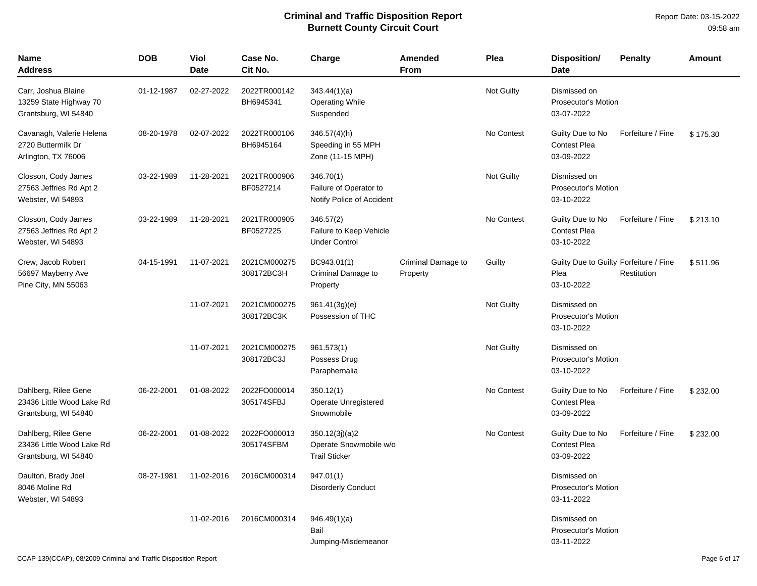Report Date: 03-15-2022 09:58 am

| Name<br><b>Address</b>                                                    | <b>DOB</b> | Viol<br><b>Date</b> | Case No.<br>Cit No.        | Charge                                                           | Amended<br><b>From</b>         | Plea              | <b>Disposition/</b><br><b>Date</b>                           | <b>Penalty</b>    | Amount   |
|---------------------------------------------------------------------------|------------|---------------------|----------------------------|------------------------------------------------------------------|--------------------------------|-------------------|--------------------------------------------------------------|-------------------|----------|
| Carr, Joshua Blaine<br>13259 State Highway 70<br>Grantsburg, WI 54840     | 01-12-1987 | 02-27-2022          | 2022TR000142<br>BH6945341  | 343.44(1)(a)<br><b>Operating While</b><br>Suspended              |                                | Not Guilty        | Dismissed on<br>Prosecutor's Motion<br>03-07-2022            |                   |          |
| Cavanagh, Valerie Helena<br>2720 Buttermilk Dr<br>Arlington, TX 76006     | 08-20-1978 | 02-07-2022          | 2022TR000106<br>BH6945164  | 346.57(4)(h)<br>Speeding in 55 MPH<br>Zone (11-15 MPH)           |                                | No Contest        | Guilty Due to No<br><b>Contest Plea</b><br>03-09-2022        | Forfeiture / Fine | \$175.30 |
| Closson, Cody James<br>27563 Jeffries Rd Apt 2<br>Webster, WI 54893       | 03-22-1989 | 11-28-2021          | 2021TR000906<br>BF0527214  | 346.70(1)<br>Failure of Operator to<br>Notify Police of Accident |                                | Not Guilty        | Dismissed on<br>Prosecutor's Motion<br>03-10-2022            |                   |          |
| Closson, Cody James<br>27563 Jeffries Rd Apt 2<br>Webster, WI 54893       | 03-22-1989 | 11-28-2021          | 2021TR000905<br>BF0527225  | 346.57(2)<br>Failure to Keep Vehicle<br><b>Under Control</b>     |                                | No Contest        | Guilty Due to No<br><b>Contest Plea</b><br>03-10-2022        | Forfeiture / Fine | \$213.10 |
| Crew, Jacob Robert<br>56697 Mayberry Ave<br>Pine City, MN 55063           | 04-15-1991 | 11-07-2021          | 2021CM000275<br>308172BC3H | BC943.01(1)<br>Criminal Damage to<br>Property                    | Criminal Damage to<br>Property | Guilty            | Guilty Due to Guilty Forfeiture / Fine<br>Plea<br>03-10-2022 | Restitution       | \$511.96 |
|                                                                           |            | 11-07-2021          | 2021CM000275<br>308172BC3K | 961.41(3g)(e)<br>Possession of THC                               |                                | Not Guilty        | Dismissed on<br><b>Prosecutor's Motion</b><br>03-10-2022     |                   |          |
|                                                                           |            | 11-07-2021          | 2021CM000275<br>308172BC3J | 961.573(1)<br>Possess Drug<br>Paraphernalia                      |                                | <b>Not Guilty</b> | Dismissed on<br><b>Prosecutor's Motion</b><br>03-10-2022     |                   |          |
| Dahlberg, Rilee Gene<br>23436 Little Wood Lake Rd<br>Grantsburg, WI 54840 | 06-22-2001 | 01-08-2022          | 2022FO000014<br>305174SFBJ | 350.12(1)<br>Operate Unregistered<br>Snowmobile                  |                                | No Contest        | Guilty Due to No<br><b>Contest Plea</b><br>03-09-2022        | Forfeiture / Fine | \$232.00 |
| Dahlberg, Rilee Gene<br>23436 Little Wood Lake Rd<br>Grantsburg, WI 54840 | 06-22-2001 | 01-08-2022          | 2022FO000013<br>305174SFBM | 350.12(3j)(a)2<br>Operate Snowmobile w/o<br><b>Trail Sticker</b> |                                | No Contest        | Guilty Due to No<br><b>Contest Plea</b><br>03-09-2022        | Forfeiture / Fine | \$232.00 |
| Daulton, Brady Joel<br>8046 Moline Rd<br>Webster, WI 54893                | 08-27-1981 | 11-02-2016          | 2016CM000314               | 947.01(1)<br><b>Disorderly Conduct</b>                           |                                |                   | Dismissed on<br><b>Prosecutor's Motion</b><br>03-11-2022     |                   |          |
|                                                                           |            | 11-02-2016          | 2016CM000314               | 946.49(1)(a)<br>Bail<br>Jumping-Misdemeanor                      |                                |                   | Dismissed on<br><b>Prosecutor's Motion</b><br>03-11-2022     |                   |          |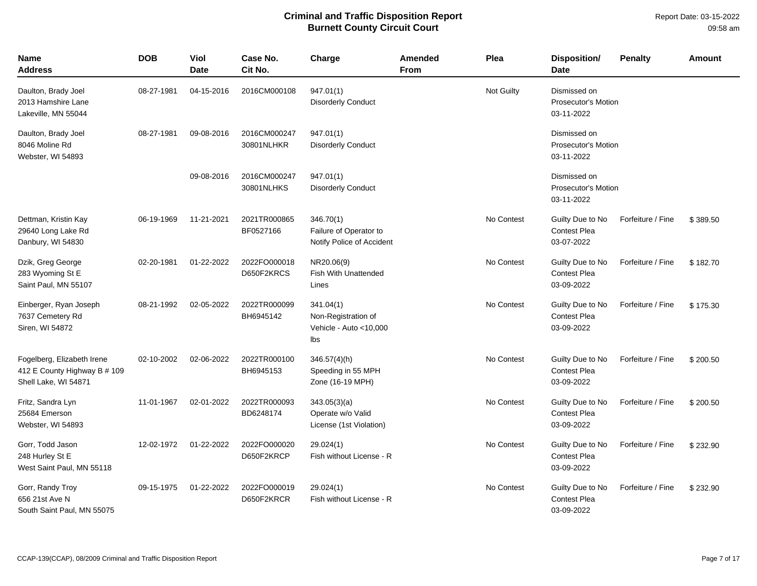| Name<br>Address                                                                    | <b>DOB</b> | Viol<br><b>Date</b> | Case No.<br>Cit No.        | Charge                                                            | <b>Amended</b><br>From | Plea              | <b>Disposition/</b><br><b>Date</b>                       | <b>Penalty</b>    | Amount   |
|------------------------------------------------------------------------------------|------------|---------------------|----------------------------|-------------------------------------------------------------------|------------------------|-------------------|----------------------------------------------------------|-------------------|----------|
| Daulton, Brady Joel<br>2013 Hamshire Lane<br>Lakeville, MN 55044                   | 08-27-1981 | 04-15-2016          | 2016CM000108               | 947.01(1)<br><b>Disorderly Conduct</b>                            |                        | <b>Not Guilty</b> | Dismissed on<br><b>Prosecutor's Motion</b><br>03-11-2022 |                   |          |
| Daulton, Brady Joel<br>8046 Moline Rd<br>Webster, WI 54893                         | 08-27-1981 | 09-08-2016          | 2016CM000247<br>30801NLHKR | 947.01(1)<br><b>Disorderly Conduct</b>                            |                        |                   | Dismissed on<br><b>Prosecutor's Motion</b><br>03-11-2022 |                   |          |
|                                                                                    |            | 09-08-2016          | 2016CM000247<br>30801NLHKS | 947.01(1)<br><b>Disorderly Conduct</b>                            |                        |                   | Dismissed on<br><b>Prosecutor's Motion</b><br>03-11-2022 |                   |          |
| Dettman, Kristin Kay<br>29640 Long Lake Rd<br>Danbury, WI 54830                    | 06-19-1969 | 11-21-2021          | 2021TR000865<br>BF0527166  | 346.70(1)<br>Failure of Operator to<br>Notify Police of Accident  |                        | No Contest        | Guilty Due to No<br><b>Contest Plea</b><br>03-07-2022    | Forfeiture / Fine | \$389.50 |
| Dzik, Greg George<br>283 Wyoming St E<br>Saint Paul, MN 55107                      | 02-20-1981 | 01-22-2022          | 2022FO000018<br>D650F2KRCS | NR20.06(9)<br><b>Fish With Unattended</b><br>Lines                |                        | No Contest        | Guilty Due to No<br><b>Contest Plea</b><br>03-09-2022    | Forfeiture / Fine | \$182.70 |
| Einberger, Ryan Joseph<br>7637 Cemetery Rd<br>Siren, WI 54872                      | 08-21-1992 | 02-05-2022          | 2022TR000099<br>BH6945142  | 341.04(1)<br>Non-Registration of<br>Vehicle - Auto <10,000<br>lbs |                        | No Contest        | Guilty Due to No<br><b>Contest Plea</b><br>03-09-2022    | Forfeiture / Fine | \$175.30 |
| Fogelberg, Elizabeth Irene<br>412 E County Highway B # 109<br>Shell Lake, WI 54871 | 02-10-2002 | 02-06-2022          | 2022TR000100<br>BH6945153  | $346.57(4)$ (h)<br>Speeding in 55 MPH<br>Zone (16-19 MPH)         |                        | No Contest        | Guilty Due to No<br><b>Contest Plea</b><br>03-09-2022    | Forfeiture / Fine | \$200.50 |
| Fritz, Sandra Lyn<br>25684 Emerson<br>Webster, WI 54893                            | 11-01-1967 | 02-01-2022          | 2022TR000093<br>BD6248174  | 343.05(3)(a)<br>Operate w/o Valid<br>License (1st Violation)      |                        | No Contest        | Guilty Due to No<br><b>Contest Plea</b><br>03-09-2022    | Forfeiture / Fine | \$200.50 |
| Gorr, Todd Jason<br>248 Hurley St E<br>West Saint Paul, MN 55118                   | 12-02-1972 | 01-22-2022          | 2022FO000020<br>D650F2KRCP | 29.024(1)<br>Fish without License - R                             |                        | No Contest        | Guilty Due to No<br><b>Contest Plea</b><br>03-09-2022    | Forfeiture / Fine | \$232.90 |
| Gorr, Randy Troy<br>656 21st Ave N<br>South Saint Paul. MN 55075                   | 09-15-1975 | 01-22-2022          | 2022FO000019<br>D650F2KRCR | 29.024(1)<br>Fish without License - R                             |                        | No Contest        | Guilty Due to No<br><b>Contest Plea</b><br>03-09-2022    | Forfeiture / Fine | \$232.90 |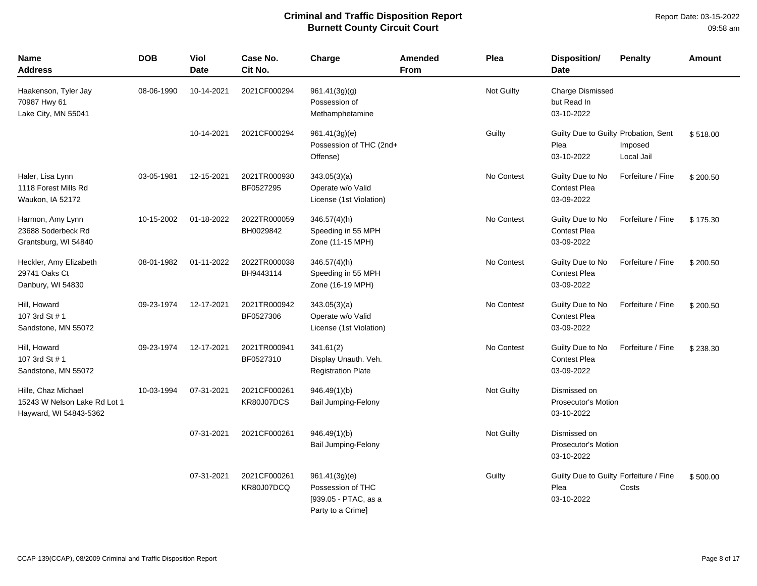| <b>Name</b><br><b>Address</b>                                                 | <b>DOB</b> | Viol<br><b>Date</b> | Case No.<br>Cit No.        | Charge                                                                          | Amended<br><b>From</b> | Plea       | <b>Disposition/</b><br><b>Date</b>                           | <b>Penalty</b>        | <b>Amount</b> |
|-------------------------------------------------------------------------------|------------|---------------------|----------------------------|---------------------------------------------------------------------------------|------------------------|------------|--------------------------------------------------------------|-----------------------|---------------|
| Haakenson, Tyler Jay<br>70987 Hwy 61<br>Lake City, MN 55041                   | 08-06-1990 | 10-14-2021          | 2021CF000294               | 961.41(3g)(g)<br>Possession of<br>Methamphetamine                               |                        | Not Guilty | <b>Charge Dismissed</b><br>but Read In<br>03-10-2022         |                       |               |
|                                                                               |            | 10-14-2021          | 2021CF000294               | 961.41(3g)(e)<br>Possession of THC (2nd+<br>Offense)                            |                        | Guilty     | Guilty Due to Guilty Probation, Sent<br>Plea<br>03-10-2022   | Imposed<br>Local Jail | \$518.00      |
| Haler, Lisa Lynn<br>1118 Forest Mills Rd<br>Waukon, IA 52172                  | 03-05-1981 | 12-15-2021          | 2021TR000930<br>BF0527295  | 343.05(3)(a)<br>Operate w/o Valid<br>License (1st Violation)                    |                        | No Contest | Guilty Due to No<br><b>Contest Plea</b><br>03-09-2022        | Forfeiture / Fine     | \$200.50      |
| Harmon, Amy Lynn<br>23688 Soderbeck Rd<br>Grantsburg, WI 54840                | 10-15-2002 | 01-18-2022          | 2022TR000059<br>BH0029842  | 346.57(4)(h)<br>Speeding in 55 MPH<br>Zone (11-15 MPH)                          |                        | No Contest | Guilty Due to No<br>Contest Plea<br>03-09-2022               | Forfeiture / Fine     | \$175.30      |
| Heckler, Amy Elizabeth<br>29741 Oaks Ct<br>Danbury, WI 54830                  | 08-01-1982 | 01-11-2022          | 2022TR000038<br>BH9443114  | 346.57(4)(h)<br>Speeding in 55 MPH<br>Zone (16-19 MPH)                          |                        | No Contest | Guilty Due to No<br><b>Contest Plea</b><br>03-09-2022        | Forfeiture / Fine     | \$200.50      |
| Hill, Howard<br>107 3rd St # 1<br>Sandstone, MN 55072                         | 09-23-1974 | 12-17-2021          | 2021TR000942<br>BF0527306  | 343.05(3)(a)<br>Operate w/o Valid<br>License (1st Violation)                    |                        | No Contest | Guilty Due to No<br><b>Contest Plea</b><br>03-09-2022        | Forfeiture / Fine     | \$200.50      |
| Hill, Howard<br>107 3rd St # 1<br>Sandstone, MN 55072                         | 09-23-1974 | 12-17-2021          | 2021TR000941<br>BF0527310  | 341.61(2)<br>Display Unauth. Veh.<br><b>Registration Plate</b>                  |                        | No Contest | Guilty Due to No<br><b>Contest Plea</b><br>03-09-2022        | Forfeiture / Fine     | \$238.30      |
| Hille, Chaz Michael<br>15243 W Nelson Lake Rd Lot 1<br>Hayward, WI 54843-5362 | 10-03-1994 | 07-31-2021          | 2021CF000261<br>KR80J07DCS | 946.49(1)(b)<br>Bail Jumping-Felony                                             |                        | Not Guilty | Dismissed on<br><b>Prosecutor's Motion</b><br>03-10-2022     |                       |               |
|                                                                               |            | 07-31-2021          | 2021CF000261               | 946.49(1)(b)<br><b>Bail Jumping-Felony</b>                                      |                        | Not Guilty | Dismissed on<br>Prosecutor's Motion<br>03-10-2022            |                       |               |
|                                                                               |            | 07-31-2021          | 2021CF000261<br>KR80J07DCQ | 961.41(3g)(e)<br>Possession of THC<br>[939.05 - PTAC, as a<br>Party to a Crime] |                        | Guilty     | Guilty Due to Guilty Forfeiture / Fine<br>Plea<br>03-10-2022 | Costs                 | \$500.00      |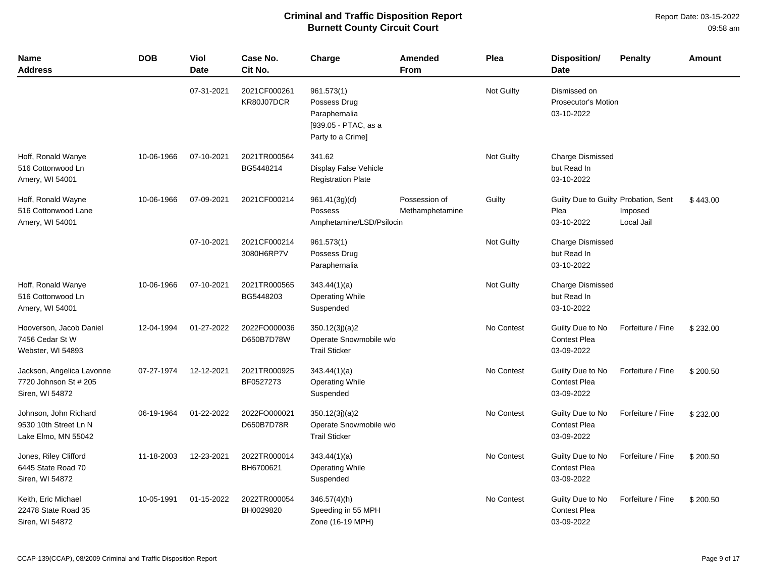| <b>Name</b><br>Address                                                | <b>DOB</b> | <b>Viol</b><br><b>Date</b> | Case No.<br>Cit No.        | Charge                                                                                   | <b>Amended</b><br><b>From</b>    | Plea              | <b>Disposition/</b><br><b>Date</b>                         | <b>Penalty</b>        | <b>Amount</b> |
|-----------------------------------------------------------------------|------------|----------------------------|----------------------------|------------------------------------------------------------------------------------------|----------------------------------|-------------------|------------------------------------------------------------|-----------------------|---------------|
|                                                                       |            | 07-31-2021                 | 2021CF000261<br>KR80J07DCR | 961.573(1)<br>Possess Drug<br>Paraphernalia<br>[939.05 - PTAC, as a<br>Party to a Crime] |                                  | Not Guilty        | Dismissed on<br><b>Prosecutor's Motion</b><br>03-10-2022   |                       |               |
| Hoff, Ronald Wanye<br>516 Cottonwood Ln<br>Amery, WI 54001            | 10-06-1966 | 07-10-2021                 | 2021TR000564<br>BG5448214  | 341.62<br>Display False Vehicle<br><b>Registration Plate</b>                             |                                  | Not Guilty        | <b>Charge Dismissed</b><br>but Read In<br>03-10-2022       |                       |               |
| Hoff, Ronald Wayne<br>516 Cottonwood Lane<br>Amery, WI 54001          | 10-06-1966 | 07-09-2021                 | 2021CF000214               | 961.41(3g)(d)<br>Possess<br>Amphetamine/LSD/Psilocin                                     | Possession of<br>Methamphetamine | Guilty            | Guilty Due to Guilty Probation, Sent<br>Plea<br>03-10-2022 | Imposed<br>Local Jail | \$443.00      |
|                                                                       |            | 07-10-2021                 | 2021CF000214<br>3080H6RP7V | 961.573(1)<br>Possess Drug<br>Paraphernalia                                              |                                  | <b>Not Guilty</b> | <b>Charge Dismissed</b><br>but Read In<br>03-10-2022       |                       |               |
| Hoff, Ronald Wanye<br>516 Cottonwood Ln<br>Amery, WI 54001            | 10-06-1966 | 07-10-2021                 | 2021TR000565<br>BG5448203  | 343.44(1)(a)<br><b>Operating While</b><br>Suspended                                      |                                  | Not Guilty        | <b>Charge Dismissed</b><br>but Read In<br>03-10-2022       |                       |               |
| Hooverson, Jacob Daniel<br>7456 Cedar St W<br>Webster, WI 54893       | 12-04-1994 | 01-27-2022                 | 2022FO000036<br>D650B7D78W | 350.12(3j)(a)2<br>Operate Snowmobile w/o<br><b>Trail Sticker</b>                         |                                  | No Contest        | Guilty Due to No<br><b>Contest Plea</b><br>03-09-2022      | Forfeiture / Fine     | \$232.00      |
| Jackson, Angelica Lavonne<br>7720 Johnson St # 205<br>Siren, WI 54872 | 07-27-1974 | 12-12-2021                 | 2021TR000925<br>BF0527273  | 343.44(1)(a)<br><b>Operating While</b><br>Suspended                                      |                                  | No Contest        | Guilty Due to No<br><b>Contest Plea</b><br>03-09-2022      | Forfeiture / Fine     | \$200.50      |
| Johnson, John Richard<br>9530 10th Street Ln N<br>Lake Elmo, MN 55042 | 06-19-1964 | 01-22-2022                 | 2022FO000021<br>D650B7D78R | 350.12(3j)(a)2<br>Operate Snowmobile w/o<br><b>Trail Sticker</b>                         |                                  | No Contest        | Guilty Due to No<br><b>Contest Plea</b><br>03-09-2022      | Forfeiture / Fine     | \$232.00      |
| Jones, Riley Clifford<br>6445 State Road 70<br>Siren, WI 54872        | 11-18-2003 | 12-23-2021                 | 2022TR000014<br>BH6700621  | 343.44(1)(a)<br><b>Operating While</b><br>Suspended                                      |                                  | No Contest        | Guilty Due to No<br><b>Contest Plea</b><br>03-09-2022      | Forfeiture / Fine     | \$200.50      |
| Keith, Eric Michael<br>22478 State Road 35<br>Siren, WI 54872         | 10-05-1991 | 01-15-2022                 | 2022TR000054<br>BH0029820  | $346.57(4)$ (h)<br>Speeding in 55 MPH<br>Zone (16-19 MPH)                                |                                  | No Contest        | Guilty Due to No<br><b>Contest Plea</b><br>03-09-2022      | Forfeiture / Fine     | \$200.50      |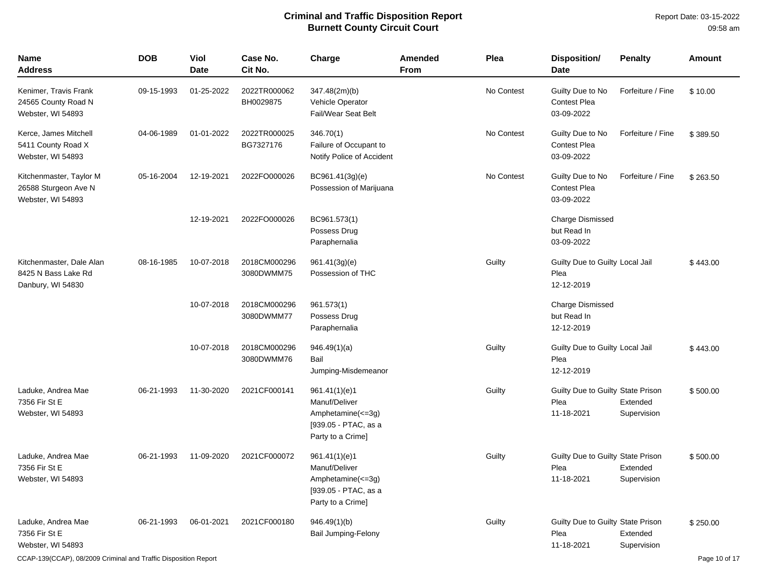| <b>Name</b><br><b>Address</b>                                        | <b>DOB</b> | Viol<br><b>Date</b> | Case No.<br>Cit No.        | Charge                                                                                           | Amended<br><b>From</b> | Plea       | <b>Disposition/</b><br><b>Date</b>                      | <b>Penalty</b>          | <b>Amount</b> |
|----------------------------------------------------------------------|------------|---------------------|----------------------------|--------------------------------------------------------------------------------------------------|------------------------|------------|---------------------------------------------------------|-------------------------|---------------|
| Kenimer, Travis Frank<br>24565 County Road N<br>Webster, WI 54893    | 09-15-1993 | 01-25-2022          | 2022TR000062<br>BH0029875  | 347.48(2m)(b)<br>Vehicle Operator<br><b>Fail/Wear Seat Belt</b>                                  |                        | No Contest | Guilty Due to No<br><b>Contest Plea</b><br>03-09-2022   | Forfeiture / Fine       | \$10.00       |
| Kerce, James Mitchell<br>5411 County Road X<br>Webster, WI 54893     | 04-06-1989 | 01-01-2022          | 2022TR000025<br>BG7327176  | 346.70(1)<br>Failure of Occupant to<br>Notify Police of Accident                                 |                        | No Contest | Guilty Due to No<br>Contest Plea<br>03-09-2022          | Forfeiture / Fine       | \$389.50      |
| Kitchenmaster, Taylor M<br>26588 Sturgeon Ave N<br>Webster, WI 54893 | 05-16-2004 | 12-19-2021          | 2022FO000026               | BC961.41(3g)(e)<br>Possession of Marijuana                                                       |                        | No Contest | Guilty Due to No<br><b>Contest Plea</b><br>03-09-2022   | Forfeiture / Fine       | \$263.50      |
|                                                                      |            | 12-19-2021          | 2022FO000026               | BC961.573(1)<br>Possess Drug<br>Paraphernalia                                                    |                        |            | <b>Charge Dismissed</b><br>but Read In<br>03-09-2022    |                         |               |
| Kitchenmaster, Dale Alan<br>8425 N Bass Lake Rd<br>Danbury, WI 54830 | 08-16-1985 | 10-07-2018          | 2018CM000296<br>3080DWMM75 | 961.41(3g)(e)<br>Possession of THC                                                               |                        | Guilty     | Guilty Due to Guilty Local Jail<br>Plea<br>12-12-2019   |                         | \$443.00      |
|                                                                      |            | 10-07-2018          | 2018CM000296<br>3080DWMM77 | 961.573(1)<br>Possess Drug<br>Paraphernalia                                                      |                        |            | <b>Charge Dismissed</b><br>but Read In<br>12-12-2019    |                         |               |
|                                                                      |            | 10-07-2018          | 2018CM000296<br>3080DWMM76 | 946.49(1)(a)<br>Bail<br>Jumping-Misdemeanor                                                      |                        | Guilty     | Guilty Due to Guilty Local Jail<br>Plea<br>12-12-2019   |                         | \$443.00      |
| Laduke, Andrea Mae<br>7356 Fir St E<br>Webster, WI 54893             | 06-21-1993 | 11-30-2020          | 2021CF000141               | 961.41(1)(e)1<br>Manuf/Deliver<br>Amphetamine(<=3g)<br>[939.05 - PTAC, as a<br>Party to a Crime] |                        | Guilty     | Guilty Due to Guilty State Prison<br>Plea<br>11-18-2021 | Extended<br>Supervision | \$500.00      |
| Laduke, Andrea Mae<br>7356 Fir St E<br>Webster, WI 54893             | 06-21-1993 | 11-09-2020          | 2021CF000072               | 961.41(1)(e)1<br>Manuf/Deliver<br>Amphetamine(<=3g)<br>[939.05 - PTAC, as a<br>Party to a Crime] |                        | Guilty     | Guilty Due to Guilty State Prison<br>Plea<br>11-18-2021 | Extended<br>Supervision | \$500.00      |
| Laduke, Andrea Mae<br>7356 Fir St E<br>Webster, WI 54893             | 06-21-1993 | 06-01-2021          | 2021CF000180               | 946.49(1)(b)<br>Bail Jumping-Felony                                                              |                        | Guilty     | Guilty Due to Guilty State Prison<br>Plea<br>11-18-2021 | Extended<br>Supervision | \$250.00      |

CCAP-139(CCAP), 08/2009 Criminal and Traffic Disposition Report Page 10 of 17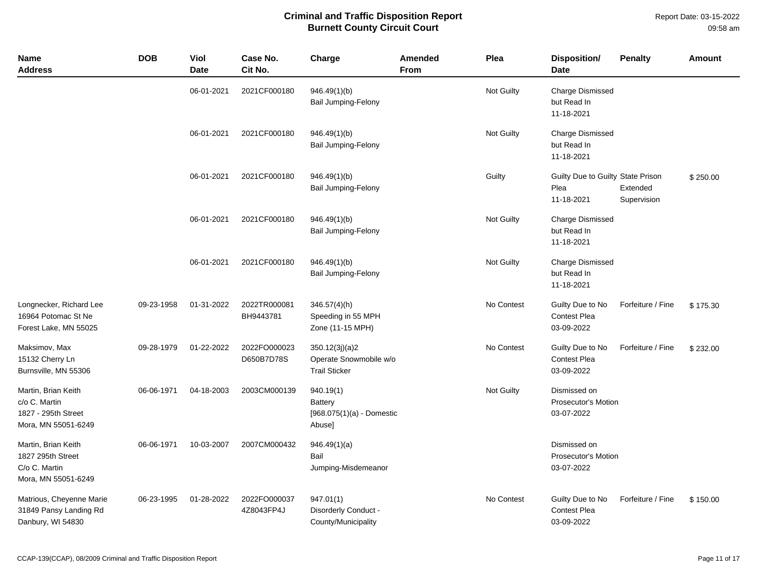Report Date: 03-15-2022 09:58 am

| <b>Name</b><br><b>Address</b>                                                      | <b>DOB</b> | <b>Viol</b><br><b>Date</b> | Case No.<br>Cit No.        | Charge                                                           | Amended<br>From | Plea       | Disposition/<br><b>Date</b>                              | <b>Penalty</b>          | <b>Amount</b> |
|------------------------------------------------------------------------------------|------------|----------------------------|----------------------------|------------------------------------------------------------------|-----------------|------------|----------------------------------------------------------|-------------------------|---------------|
|                                                                                    |            | 06-01-2021                 | 2021CF000180               | 946.49(1)(b)<br>Bail Jumping-Felony                              |                 | Not Guilty | <b>Charge Dismissed</b><br>but Read In<br>11-18-2021     |                         |               |
|                                                                                    |            | 06-01-2021                 | 2021CF000180               | 946.49(1)(b)<br><b>Bail Jumping-Felony</b>                       |                 | Not Guilty | <b>Charge Dismissed</b><br>but Read In<br>11-18-2021     |                         |               |
|                                                                                    |            | 06-01-2021                 | 2021CF000180               | 946.49(1)(b)<br>Bail Jumping-Felony                              |                 | Guilty     | Guilty Due to Guilty State Prison<br>Plea<br>11-18-2021  | Extended<br>Supervision | \$250.00      |
|                                                                                    |            | 06-01-2021                 | 2021CF000180               | 946.49(1)(b)<br><b>Bail Jumping-Felony</b>                       |                 | Not Guilty | <b>Charge Dismissed</b><br>but Read In<br>11-18-2021     |                         |               |
|                                                                                    |            | 06-01-2021                 | 2021CF000180               | 946.49(1)(b)<br>Bail Jumping-Felony                              |                 | Not Guilty | <b>Charge Dismissed</b><br>but Read In<br>11-18-2021     |                         |               |
| Longnecker, Richard Lee<br>16964 Potomac St Ne<br>Forest Lake, MN 55025            | 09-23-1958 | 01-31-2022                 | 2022TR000081<br>BH9443781  | $346.57(4)$ (h)<br>Speeding in 55 MPH<br>Zone (11-15 MPH)        |                 | No Contest | Guilty Due to No<br><b>Contest Plea</b><br>03-09-2022    | Forfeiture / Fine       | \$175.30      |
| Maksimov, Max<br>15132 Cherry Ln<br>Burnsville, MN 55306                           | 09-28-1979 | 01-22-2022                 | 2022FO000023<br>D650B7D78S | 350.12(3j)(a)2<br>Operate Snowmobile w/o<br><b>Trail Sticker</b> |                 | No Contest | Guilty Due to No<br><b>Contest Plea</b><br>03-09-2022    | Forfeiture / Fine       | \$232.00      |
| Martin, Brian Keith<br>c/o C. Martin<br>1827 - 295th Street<br>Mora, MN 55051-6249 | 06-06-1971 | 04-18-2003                 | 2003CM000139               | 940.19(1)<br>Battery<br>$[968.075(1)(a) -$ Domestic<br>Abuse]    |                 | Not Guilty | Dismissed on<br><b>Prosecutor's Motion</b><br>03-07-2022 |                         |               |
| Martin, Brian Keith<br>1827 295th Street<br>C/o C. Martin<br>Mora, MN 55051-6249   | 06-06-1971 | 10-03-2007                 | 2007CM000432               | 946.49(1)(a)<br>Bail<br>Jumping-Misdemeanor                      |                 |            | Dismissed on<br><b>Prosecutor's Motion</b><br>03-07-2022 |                         |               |
| Matrious, Cheyenne Marie<br>31849 Pansy Landing Rd<br>Danbury, WI 54830            | 06-23-1995 | 01-28-2022                 | 2022FO000037<br>4Z8043FP4J | 947.01(1)<br>Disorderly Conduct -<br>County/Municipality         |                 | No Contest | Guilty Due to No<br><b>Contest Plea</b><br>03-09-2022    | Forfeiture / Fine       | \$150.00      |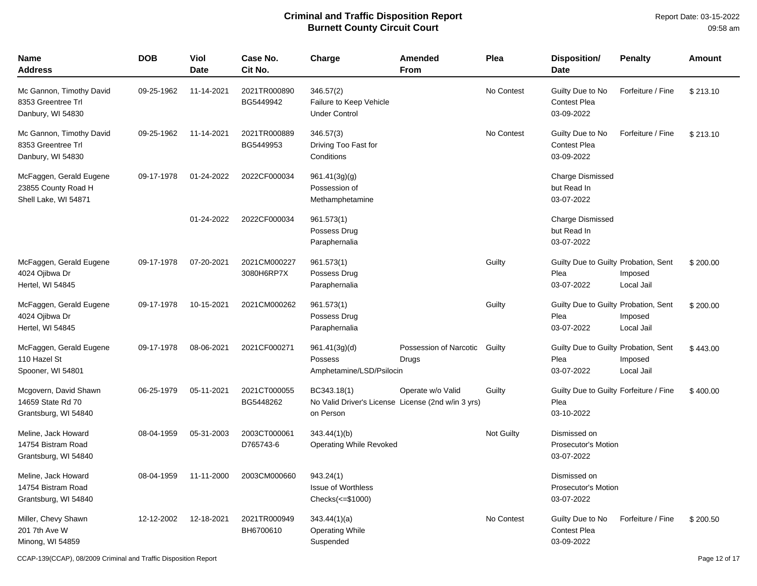| Name<br><b>Address</b>                                                 | <b>DOB</b> | Viol<br><b>Date</b> | Case No.<br>Cit No.        | Charge                                                                         | Amended<br><b>From</b>          | Plea              | Disposition/<br><b>Date</b>                                  | <b>Penalty</b>        | <b>Amount</b> |
|------------------------------------------------------------------------|------------|---------------------|----------------------------|--------------------------------------------------------------------------------|---------------------------------|-------------------|--------------------------------------------------------------|-----------------------|---------------|
| Mc Gannon, Timothy David<br>8353 Greentree Trl<br>Danbury, WI 54830    | 09-25-1962 | 11-14-2021          | 2021TR000890<br>BG5449942  | 346.57(2)<br>Failure to Keep Vehicle<br><b>Under Control</b>                   |                                 | No Contest        | Guilty Due to No<br><b>Contest Plea</b><br>03-09-2022        | Forfeiture / Fine     | \$213.10      |
| Mc Gannon, Timothy David<br>8353 Greentree Trl<br>Danbury, WI 54830    | 09-25-1962 | 11-14-2021          | 2021TR000889<br>BG5449953  | 346.57(3)<br>Driving Too Fast for<br>Conditions                                |                                 | No Contest        | Guilty Due to No<br><b>Contest Plea</b><br>03-09-2022        | Forfeiture / Fine     | \$213.10      |
| McFaggen, Gerald Eugene<br>23855 County Road H<br>Shell Lake, WI 54871 | 09-17-1978 | 01-24-2022          | 2022CF000034               | 961.41(3g)(g)<br>Possession of<br>Methamphetamine                              |                                 |                   | <b>Charge Dismissed</b><br>but Read In<br>03-07-2022         |                       |               |
|                                                                        |            | 01-24-2022          | 2022CF000034               | 961.573(1)<br>Possess Drug<br>Paraphernalia                                    |                                 |                   | Charge Dismissed<br>but Read In<br>03-07-2022                |                       |               |
| McFaggen, Gerald Eugene<br>4024 Ojibwa Dr<br>Hertel, WI 54845          | 09-17-1978 | 07-20-2021          | 2021CM000227<br>3080H6RP7X | 961.573(1)<br>Possess Drug<br>Paraphernalia                                    |                                 | Guilty            | Guilty Due to Guilty Probation, Sent<br>Plea<br>03-07-2022   | Imposed<br>Local Jail | \$200.00      |
| McFaggen, Gerald Eugene<br>4024 Ojibwa Dr<br>Hertel, WI 54845          | 09-17-1978 | 10-15-2021          | 2021CM000262               | 961.573(1)<br>Possess Drug<br>Paraphernalia                                    |                                 | Guilty            | Guilty Due to Guilty Probation, Sent<br>Plea<br>03-07-2022   | Imposed<br>Local Jail | \$200.00      |
| McFaggen, Gerald Eugene<br>110 Hazel St<br>Spooner, WI 54801           | 09-17-1978 | 08-06-2021          | 2021CF000271               | 961.41(3g)(d)<br>Possess<br>Amphetamine/LSD/Psilocin                           | Possession of Narcotic<br>Drugs | Guilty            | Guilty Due to Guilty Probation, Sent<br>Plea<br>03-07-2022   | Imposed<br>Local Jail | \$443.00      |
| Mcgovern, David Shawn<br>14659 State Rd 70<br>Grantsburg, WI 54840     | 06-25-1979 | 05-11-2021          | 2021CT000055<br>BG5448262  | BC343.18(1)<br>No Valid Driver's License License (2nd w/in 3 yrs)<br>on Person | Operate w/o Valid               | Guilty            | Guilty Due to Guilty Forfeiture / Fine<br>Plea<br>03-10-2022 |                       | \$400.00      |
| Meline, Jack Howard<br>14754 Bistram Road<br>Grantsburg, WI 54840      | 08-04-1959 | 05-31-2003          | 2003CT000061<br>D765743-6  | 343.44(1)(b)<br>Operating While Revoked                                        |                                 | <b>Not Guilty</b> | Dismissed on<br><b>Prosecutor's Motion</b><br>03-07-2022     |                       |               |
| Meline, Jack Howard<br>14754 Bistram Road<br>Grantsburg, WI 54840      | 08-04-1959 | 11-11-2000          | 2003CM000660               | 943.24(1)<br><b>Issue of Worthless</b><br>Checks(<=\$1000)                     |                                 |                   | Dismissed on<br><b>Prosecutor's Motion</b><br>03-07-2022     |                       |               |
| Miller, Chevy Shawn<br>201 7th Ave W<br>Minong, WI 54859               | 12-12-2002 | 12-18-2021          | 2021TR000949<br>BH6700610  | 343.44(1)(a)<br><b>Operating While</b><br>Suspended                            |                                 | No Contest        | Guilty Due to No<br><b>Contest Plea</b><br>03-09-2022        | Forfeiture / Fine     | \$200.50      |

CCAP-139(CCAP), 08/2009 Criminal and Traffic Disposition Report Page 12 of 17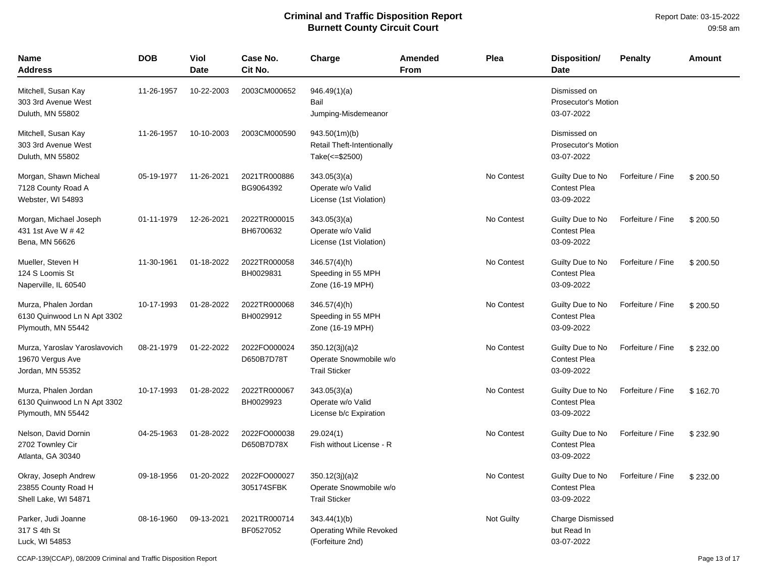| Name<br><b>Address</b>                                                    | <b>DOB</b> | Viol<br><b>Date</b> | Case No.<br>Cit No.        | Charge                                                               | Amended<br><b>From</b> | Plea              | Disposition/<br><b>Date</b>                              | <b>Penalty</b>    | Amount   |
|---------------------------------------------------------------------------|------------|---------------------|----------------------------|----------------------------------------------------------------------|------------------------|-------------------|----------------------------------------------------------|-------------------|----------|
| Mitchell, Susan Kay<br>303 3rd Avenue West<br>Duluth, MN 55802            | 11-26-1957 | 10-22-2003          | 2003CM000652               | 946.49(1)(a)<br>Bail<br>Jumping-Misdemeanor                          |                        |                   | Dismissed on<br><b>Prosecutor's Motion</b><br>03-07-2022 |                   |          |
| Mitchell, Susan Kay<br>303 3rd Avenue West<br>Duluth, MN 55802            | 11-26-1957 | 10-10-2003          | 2003CM000590               | 943.50(1m)(b)<br><b>Retail Theft-Intentionally</b><br>Take(<=\$2500) |                        |                   | Dismissed on<br><b>Prosecutor's Motion</b><br>03-07-2022 |                   |          |
| Morgan, Shawn Micheal<br>7128 County Road A<br>Webster, WI 54893          | 05-19-1977 | 11-26-2021          | 2021TR000886<br>BG9064392  | 343.05(3)(a)<br>Operate w/o Valid<br>License (1st Violation)         |                        | No Contest        | Guilty Due to No<br><b>Contest Plea</b><br>03-09-2022    | Forfeiture / Fine | \$200.50 |
| Morgan, Michael Joseph<br>431 1st Ave W # 42<br>Bena, MN 56626            | 01-11-1979 | 12-26-2021          | 2022TR000015<br>BH6700632  | 343.05(3)(a)<br>Operate w/o Valid<br>License (1st Violation)         |                        | No Contest        | Guilty Due to No<br>Contest Plea<br>03-09-2022           | Forfeiture / Fine | \$200.50 |
| Mueller, Steven H<br>124 S Loomis St<br>Naperville, IL 60540              | 11-30-1961 | 01-18-2022          | 2022TR000058<br>BH0029831  | $346.57(4)$ (h)<br>Speeding in 55 MPH<br>Zone (16-19 MPH)            |                        | No Contest        | Guilty Due to No<br>Contest Plea<br>03-09-2022           | Forfeiture / Fine | \$200.50 |
| Murza, Phalen Jordan<br>6130 Quinwood Ln N Apt 3302<br>Plymouth, MN 55442 | 10-17-1993 | 01-28-2022          | 2022TR000068<br>BH0029912  | $346.57(4)$ (h)<br>Speeding in 55 MPH<br>Zone (16-19 MPH)            |                        | No Contest        | Guilty Due to No<br><b>Contest Plea</b><br>03-09-2022    | Forfeiture / Fine | \$200.50 |
| Murza, Yaroslav Yaroslavovich<br>19670 Vergus Ave<br>Jordan, MN 55352     | 08-21-1979 | 01-22-2022          | 2022FO000024<br>D650B7D78T | 350.12(3j)(a)2<br>Operate Snowmobile w/o<br><b>Trail Sticker</b>     |                        | No Contest        | Guilty Due to No<br><b>Contest Plea</b><br>03-09-2022    | Forfeiture / Fine | \$232.00 |
| Murza, Phalen Jordan<br>6130 Quinwood Ln N Apt 3302<br>Plymouth, MN 55442 | 10-17-1993 | 01-28-2022          | 2022TR000067<br>BH0029923  | 343.05(3)(a)<br>Operate w/o Valid<br>License b/c Expiration          |                        | No Contest        | Guilty Due to No<br><b>Contest Plea</b><br>03-09-2022    | Forfeiture / Fine | \$162.70 |
| Nelson, David Dornin<br>2702 Townley Cir<br>Atlanta, GA 30340             | 04-25-1963 | 01-28-2022          | 2022FO000038<br>D650B7D78X | 29.024(1)<br>Fish without License - R                                |                        | No Contest        | Guilty Due to No<br><b>Contest Plea</b><br>03-09-2022    | Forfeiture / Fine | \$232.90 |
| Okray, Joseph Andrew<br>23855 County Road H<br>Shell Lake, WI 54871       | 09-18-1956 | 01-20-2022          | 2022FO000027<br>305174SFBK | 350.12(3j)(a)2<br>Operate Snowmobile w/o<br><b>Trail Sticker</b>     |                        | No Contest        | Guilty Due to No<br><b>Contest Plea</b><br>03-09-2022    | Forfeiture / Fine | \$232.00 |
| Parker, Judi Joanne<br>317 S 4th St<br>Luck, WI 54853                     | 08-16-1960 | 09-13-2021          | 2021TR000714<br>BF0527052  | 343.44(1)(b)<br>Operating While Revoked<br>(Forfeiture 2nd)          |                        | <b>Not Guilty</b> | <b>Charge Dismissed</b><br>but Read In<br>03-07-2022     |                   |          |

CCAP-139(CCAP), 08/2009 Criminal and Traffic Disposition Report Page 13 of 17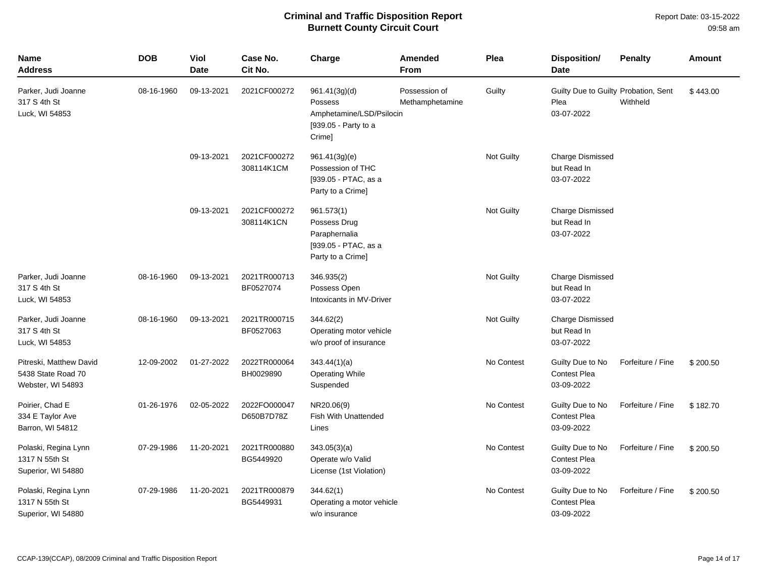| <b>Name</b><br><b>Address</b>                                      | <b>DOB</b> | Viol<br><b>Date</b> | Case No.<br>Cit No.        | Charge                                                                                   | <b>Amended</b><br>From           | Plea       | Disposition/<br><b>Date</b>                                | <b>Penalty</b>    | <b>Amount</b> |
|--------------------------------------------------------------------|------------|---------------------|----------------------------|------------------------------------------------------------------------------------------|----------------------------------|------------|------------------------------------------------------------|-------------------|---------------|
| Parker, Judi Joanne<br>317 S 4th St<br>Luck, WI 54853              | 08-16-1960 | 09-13-2021          | 2021CF000272               | 961.41(3g)(d)<br>Possess<br>Amphetamine/LSD/Psilocin<br>[939.05 - Party to a<br>Crime]   | Possession of<br>Methamphetamine | Guilty     | Guilty Due to Guilty Probation, Sent<br>Plea<br>03-07-2022 | Withheld          | \$443.00      |
|                                                                    |            | 09-13-2021          | 2021CF000272<br>308114K1CM | 961.41(3g)(e)<br>Possession of THC<br>[939.05 - PTAC, as a<br>Party to a Crime]          |                                  | Not Guilty | <b>Charge Dismissed</b><br>but Read In<br>03-07-2022       |                   |               |
|                                                                    |            | 09-13-2021          | 2021CF000272<br>308114K1CN | 961.573(1)<br>Possess Drug<br>Paraphernalia<br>[939.05 - PTAC, as a<br>Party to a Crime] |                                  | Not Guilty | Charge Dismissed<br>but Read In<br>03-07-2022              |                   |               |
| Parker, Judi Joanne<br>317 S 4th St<br>Luck, WI 54853              | 08-16-1960 | 09-13-2021          | 2021TR000713<br>BF0527074  | 346.935(2)<br>Possess Open<br>Intoxicants in MV-Driver                                   |                                  | Not Guilty | <b>Charge Dismissed</b><br>but Read In<br>03-07-2022       |                   |               |
| Parker, Judi Joanne<br>317 S 4th St<br>Luck, WI 54853              | 08-16-1960 | 09-13-2021          | 2021TR000715<br>BF0527063  | 344.62(2)<br>Operating motor vehicle<br>w/o proof of insurance                           |                                  | Not Guilty | <b>Charge Dismissed</b><br>but Read In<br>03-07-2022       |                   |               |
| Pitreski, Matthew David<br>5438 State Road 70<br>Webster, WI 54893 | 12-09-2002 | 01-27-2022          | 2022TR000064<br>BH0029890  | 343.44(1)(a)<br><b>Operating While</b><br>Suspended                                      |                                  | No Contest | Guilty Due to No<br><b>Contest Plea</b><br>03-09-2022      | Forfeiture / Fine | \$200.50      |
| Poirier, Chad E<br>334 E Taylor Ave<br>Barron, WI 54812            | 01-26-1976 | 02-05-2022          | 2022FO000047<br>D650B7D78Z | NR20.06(9)<br><b>Fish With Unattended</b><br>Lines                                       |                                  | No Contest | Guilty Due to No<br><b>Contest Plea</b><br>03-09-2022      | Forfeiture / Fine | \$182.70      |
| Polaski, Regina Lynn<br>1317 N 55th St<br>Superior, WI 54880       | 07-29-1986 | 11-20-2021          | 2021TR000880<br>BG5449920  | 343.05(3)(a)<br>Operate w/o Valid<br>License (1st Violation)                             |                                  | No Contest | Guilty Due to No<br><b>Contest Plea</b><br>03-09-2022      | Forfeiture / Fine | \$200.50      |
| Polaski, Regina Lynn<br>1317 N 55th St<br>Superior, WI 54880       | 07-29-1986 | 11-20-2021          | 2021TR000879<br>BG5449931  | 344.62(1)<br>Operating a motor vehicle<br>w/o insurance                                  |                                  | No Contest | Guilty Due to No<br><b>Contest Plea</b><br>03-09-2022      | Forfeiture / Fine | \$200.50      |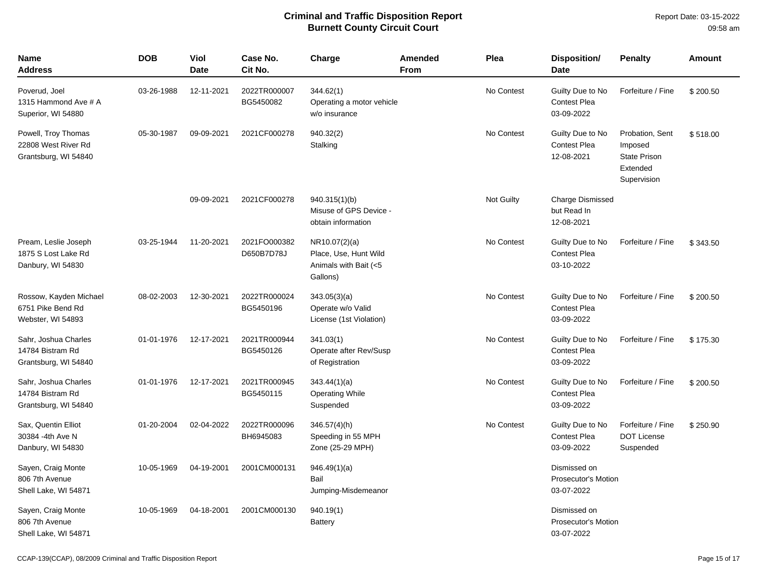| <b>Name</b><br><b>Address</b>                                      | <b>DOB</b> | <b>Viol</b><br><b>Date</b> | Case No.<br>Cit No.        | Charge                                                                      | Amended<br><b>From</b> | Plea       | Disposition/<br><b>Date</b>                              | <b>Penalty</b>                                                               | Amount   |
|--------------------------------------------------------------------|------------|----------------------------|----------------------------|-----------------------------------------------------------------------------|------------------------|------------|----------------------------------------------------------|------------------------------------------------------------------------------|----------|
| Poverud, Joel<br>1315 Hammond Ave # A<br>Superior, WI 54880        | 03-26-1988 | 12-11-2021                 | 2022TR000007<br>BG5450082  | 344.62(1)<br>Operating a motor vehicle<br>w/o insurance                     |                        | No Contest | Guilty Due to No<br><b>Contest Plea</b><br>03-09-2022    | Forfeiture / Fine                                                            | \$200.50 |
| Powell, Troy Thomas<br>22808 West River Rd<br>Grantsburg, WI 54840 | 05-30-1987 | 09-09-2021                 | 2021CF000278               | 940.32(2)<br>Stalking                                                       |                        | No Contest | Guilty Due to No<br><b>Contest Plea</b><br>12-08-2021    | Probation, Sent<br>Imposed<br><b>State Prison</b><br>Extended<br>Supervision | \$518.00 |
|                                                                    |            | 09-09-2021                 | 2021CF000278               | 940.315(1)(b)<br>Misuse of GPS Device -<br>obtain information               |                        | Not Guilty | <b>Charge Dismissed</b><br>but Read In<br>12-08-2021     |                                                                              |          |
| Pream, Leslie Joseph<br>1875 S Lost Lake Rd<br>Danbury, WI 54830   | 03-25-1944 | 11-20-2021                 | 2021FO000382<br>D650B7D78J | NR10.07(2)(a)<br>Place, Use, Hunt Wild<br>Animals with Bait (<5<br>Gallons) |                        | No Contest | Guilty Due to No<br><b>Contest Plea</b><br>03-10-2022    | Forfeiture / Fine                                                            | \$343.50 |
| Rossow, Kayden Michael<br>6751 Pike Bend Rd<br>Webster, WI 54893   | 08-02-2003 | 12-30-2021                 | 2022TR000024<br>BG5450196  | 343.05(3)(a)<br>Operate w/o Valid<br>License (1st Violation)                |                        | No Contest | Guilty Due to No<br><b>Contest Plea</b><br>03-09-2022    | Forfeiture / Fine                                                            | \$200.50 |
| Sahr, Joshua Charles<br>14784 Bistram Rd<br>Grantsburg, WI 54840   | 01-01-1976 | 12-17-2021                 | 2021TR000944<br>BG5450126  | 341.03(1)<br>Operate after Rev/Susp<br>of Registration                      |                        | No Contest | Guilty Due to No<br><b>Contest Plea</b><br>03-09-2022    | Forfeiture / Fine                                                            | \$175.30 |
| Sahr, Joshua Charles<br>14784 Bistram Rd<br>Grantsburg, WI 54840   | 01-01-1976 | 12-17-2021                 | 2021TR000945<br>BG5450115  | 343.44(1)(a)<br><b>Operating While</b><br>Suspended                         |                        | No Contest | Guilty Due to No<br>Contest Plea<br>03-09-2022           | Forfeiture / Fine                                                            | \$200.50 |
| Sax, Quentin Elliot<br>30384 - 4th Ave N<br>Danbury, WI 54830      | 01-20-2004 | 02-04-2022                 | 2022TR000096<br>BH6945083  | $346.57(4)$ (h)<br>Speeding in 55 MPH<br>Zone (25-29 MPH)                   |                        | No Contest | Guilty Due to No<br><b>Contest Plea</b><br>03-09-2022    | Forfeiture / Fine<br><b>DOT License</b><br>Suspended                         | \$250.90 |
| Sayen, Craig Monte<br>806 7th Avenue<br>Shell Lake, WI 54871       | 10-05-1969 | 04-19-2001                 | 2001CM000131               | 946.49(1)(a)<br>Bail<br>Jumping-Misdemeanor                                 |                        |            | Dismissed on<br>Prosecutor's Motion<br>03-07-2022        |                                                                              |          |
| Sayen, Craig Monte<br>806 7th Avenue<br>Shell Lake, WI 54871       | 10-05-1969 | 04-18-2001                 | 2001CM000130               | 940.19(1)<br>Battery                                                        |                        |            | Dismissed on<br><b>Prosecutor's Motion</b><br>03-07-2022 |                                                                              |          |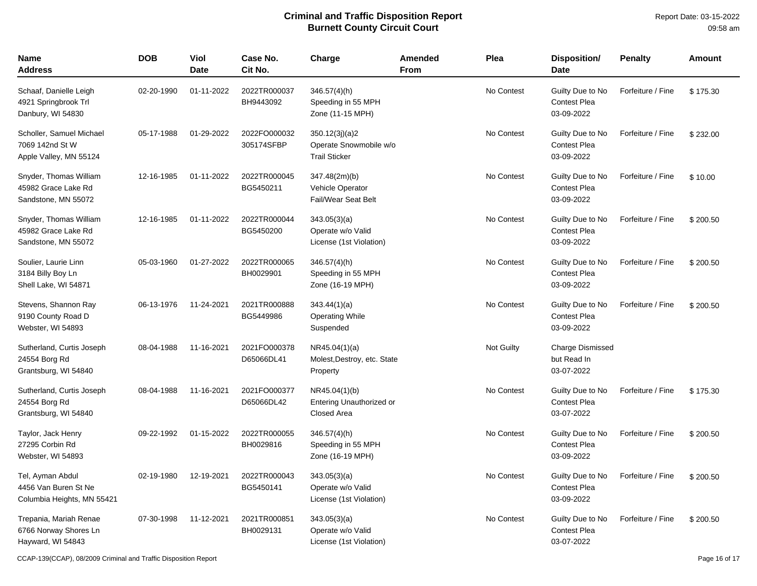| Name<br>Address                                                        | <b>DOB</b> | Viol<br>Date | Case No.<br>Cit No.        | Charge                                                                 | Amended<br>From | Plea       | <b>Disposition/</b><br><b>Date</b>                    | <b>Penalty</b>    | Amount   |
|------------------------------------------------------------------------|------------|--------------|----------------------------|------------------------------------------------------------------------|-----------------|------------|-------------------------------------------------------|-------------------|----------|
| Schaaf, Danielle Leigh<br>4921 Springbrook Trl<br>Danbury, WI 54830    | 02-20-1990 | 01-11-2022   | 2022TR000037<br>BH9443092  | $346.57(4)$ (h)<br>Speeding in 55 MPH<br>Zone (11-15 MPH)              |                 | No Contest | Guilty Due to No<br><b>Contest Plea</b><br>03-09-2022 | Forfeiture / Fine | \$175.30 |
| Scholler, Samuel Michael<br>7069 142nd St W<br>Apple Valley, MN 55124  | 05-17-1988 | 01-29-2022   | 2022FO000032<br>305174SFBP | 350.12(3j)(a)2<br>Operate Snowmobile w/o<br><b>Trail Sticker</b>       |                 | No Contest | Guilty Due to No<br><b>Contest Plea</b><br>03-09-2022 | Forfeiture / Fine | \$232.00 |
| Snyder, Thomas William<br>45982 Grace Lake Rd<br>Sandstone, MN 55072   | 12-16-1985 | 01-11-2022   | 2022TR000045<br>BG5450211  | 347.48(2m)(b)<br><b>Vehicle Operator</b><br><b>Fail/Wear Seat Belt</b> |                 | No Contest | Guilty Due to No<br><b>Contest Plea</b><br>03-09-2022 | Forfeiture / Fine | \$10.00  |
| Snyder, Thomas William<br>45982 Grace Lake Rd<br>Sandstone, MN 55072   | 12-16-1985 | 01-11-2022   | 2022TR000044<br>BG5450200  | 343.05(3)(a)<br>Operate w/o Valid<br>License (1st Violation)           |                 | No Contest | Guilty Due to No<br><b>Contest Plea</b><br>03-09-2022 | Forfeiture / Fine | \$200.50 |
| Soulier, Laurie Linn<br>3184 Billy Boy Ln<br>Shell Lake, WI 54871      | 05-03-1960 | 01-27-2022   | 2022TR000065<br>BH0029901  | $346.57(4)$ (h)<br>Speeding in 55 MPH<br>Zone (16-19 MPH)              |                 | No Contest | Guilty Due to No<br><b>Contest Plea</b><br>03-09-2022 | Forfeiture / Fine | \$200.50 |
| Stevens, Shannon Ray<br>9190 County Road D<br>Webster, WI 54893        | 06-13-1976 | 11-24-2021   | 2021TR000888<br>BG5449986  | 343.44(1)(a)<br><b>Operating While</b><br>Suspended                    |                 | No Contest | Guilty Due to No<br><b>Contest Plea</b><br>03-09-2022 | Forfeiture / Fine | \$200.50 |
| Sutherland, Curtis Joseph<br>24554 Borg Rd<br>Grantsburg, WI 54840     | 08-04-1988 | 11-16-2021   | 2021FO000378<br>D65066DL41 | NR45.04(1)(a)<br>Molest, Destroy, etc. State<br>Property               |                 | Not Guilty | Charge Dismissed<br>but Read In<br>03-07-2022         |                   |          |
| Sutherland, Curtis Joseph<br>24554 Borg Rd<br>Grantsburg, WI 54840     | 08-04-1988 | 11-16-2021   | 2021FO000377<br>D65066DL42 | NR45.04(1)(b)<br><b>Entering Unauthorized or</b><br>Closed Area        |                 | No Contest | Guilty Due to No<br><b>Contest Plea</b><br>03-07-2022 | Forfeiture / Fine | \$175.30 |
| Taylor, Jack Henry<br>27295 Corbin Rd<br>Webster, WI 54893             | 09-22-1992 | 01-15-2022   | 2022TR000055<br>BH0029816  | 346.57(4)(h)<br>Speeding in 55 MPH<br>Zone (16-19 MPH)                 |                 | No Contest | Guilty Due to No<br><b>Contest Plea</b><br>03-09-2022 | Forfeiture / Fine | \$200.50 |
| Tel, Ayman Abdul<br>4456 Van Buren St Ne<br>Columbia Heights, MN 55421 | 02-19-1980 | 12-19-2021   | 2022TR000043<br>BG5450141  | 343.05(3)(a)<br>Operate w/o Valid<br>License (1st Violation)           |                 | No Contest | Guilty Due to No<br><b>Contest Plea</b><br>03-09-2022 | Forfeiture / Fine | \$200.50 |
| Trepania, Mariah Renae<br>6766 Norway Shores Ln<br>Hayward, WI 54843   | 07-30-1998 | 11-12-2021   | 2021TR000851<br>BH0029131  | 343.05(3)(a)<br>Operate w/o Valid<br>License (1st Violation)           |                 | No Contest | Guilty Due to No<br><b>Contest Plea</b><br>03-07-2022 | Forfeiture / Fine | \$200.50 |

CCAP-139(CCAP), 08/2009 Criminal and Traffic Disposition Report Page 16 of 17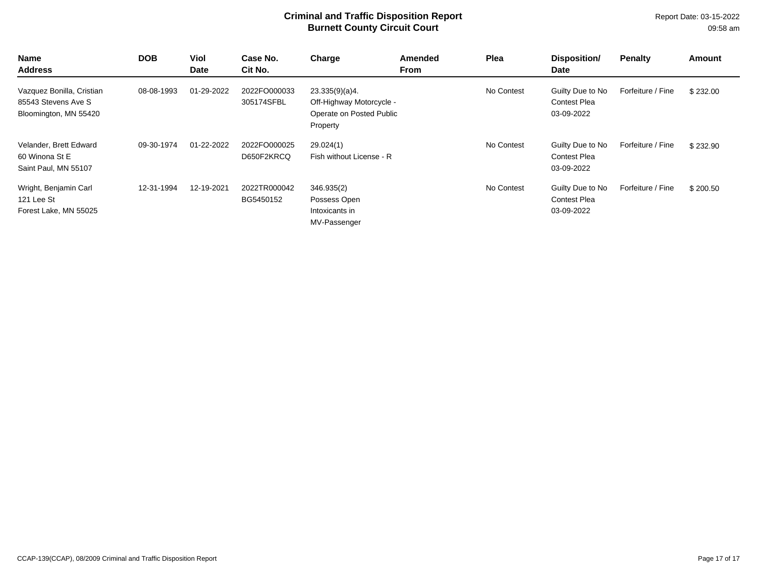| Name<br><b>Address</b>                                                    | <b>DOB</b> | Viol<br><b>Date</b> | Case No.<br>Cit No.        | Charge                                                                             | Amended<br><b>From</b> | Plea       | Disposition/<br>Date                                  | <b>Penalty</b>    | Amount   |
|---------------------------------------------------------------------------|------------|---------------------|----------------------------|------------------------------------------------------------------------------------|------------------------|------------|-------------------------------------------------------|-------------------|----------|
| Vazquez Bonilla, Cristian<br>85543 Stevens Ave S<br>Bloomington, MN 55420 | 08-08-1993 | 01-29-2022          | 2022FO000033<br>305174SFBL | 23.335(9)(a)4.<br>Off-Highway Motorcycle -<br>Operate on Posted Public<br>Property |                        | No Contest | Guilty Due to No<br><b>Contest Plea</b><br>03-09-2022 | Forfeiture / Fine | \$232.00 |
| Velander, Brett Edward<br>60 Winona St E<br>Saint Paul, MN 55107          | 09-30-1974 | 01-22-2022          | 2022FO000025<br>D650F2KRCQ | 29.024(1)<br>Fish without License - R                                              |                        | No Contest | Guilty Due to No<br><b>Contest Plea</b><br>03-09-2022 | Forfeiture / Fine | \$232.90 |
| Wright, Benjamin Carl<br>121 Lee St<br>Forest Lake, MN 55025              | 12-31-1994 | 12-19-2021          | 2022TR000042<br>BG5450152  | 346.935(2)<br>Possess Open<br>Intoxicants in<br>MV-Passenger                       |                        | No Contest | Guilty Due to No<br><b>Contest Plea</b><br>03-09-2022 | Forfeiture / Fine | \$200.50 |